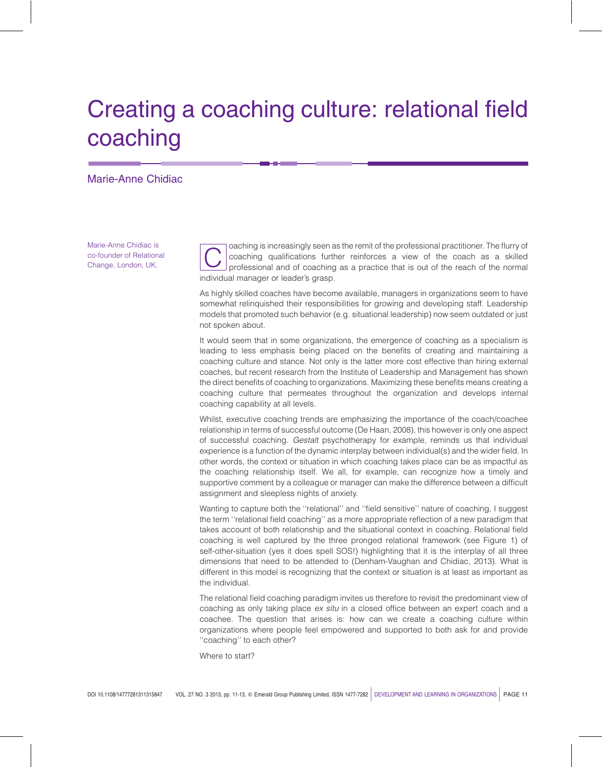# Creating a coaching culture: relational field coaching

# Marie-Anne Chidiac

Marie-Anne Chidiac is co-founder of Relational Change, London, UK.

Coaching is increasingly seen as the remit of the professional practitioner. The flurry of coaching qualifications further reinforces a view of the coach as a skilled professional and of coaching as a practice that is out coaching qualifications further reinforces a view of the coach as a skilled individual manager or leader's grasp.

As highly skilled coaches have become available, managers in organizations seem to have somewhat relinquished their responsibilities for growing and developing staff. Leadership models that promoted such behavior (e.g. situational leadership) now seem outdated or just not spoken about.

It would seem that in some organizations, the emergence of coaching as a specialism is leading to less emphasis being placed on the benefits of creating and maintaining a coaching culture and stance. Not only is the latter more cost effective than hiring external coaches, but recent research from the Institute of Leadership and Management has shown the direct benefits of coaching to organizations. Maximizing these benefits means creating a coaching culture that permeates throughout the organization and develops internal coaching capability at all levels.

Whilst, executive coaching trends are emphasizing the importance of the coach/coachee relationship in terms of successful outcome (De Haan, 2008), this however is only one aspect of successful coaching. Gestalt psychotherapy for example, reminds us that individual experience is a function of the dynamic interplay between individual(s) and the wider field. In other words, the context or situation in which coaching takes place can be as impactful as the coaching relationship itself. We all, for example, can recognize how a timely and supportive comment by a colleague or manager can make the difference between a difficult assignment and sleepless nights of anxiety.

Wanting to capture both the "relational" and "field sensitive" nature of coaching, I suggest the term ''relational field coaching'' as a more appropriate reflection of a new paradigm that takes account of both relationship and the situational context in coaching. Relational field coaching is well captured by the three pronged relational framework (see Figure 1) of self-other-situation (yes it does spell SOS!) highlighting that it is the interplay of all three dimensions that need to be attended to (Denham-Vaughan and Chidiac, 2013). What is different in this model is recognizing that the context or situation is at least as important as the individual.

The relational field coaching paradigm invites us therefore to revisit the predominant view of coaching as only taking place ex situ in a closed office between an expert coach and a coachee. The question that arises is: how can we create a coaching culture within organizations where people feel empowered and supported to both ask for and provide ''coaching'' to each other?

Where to start?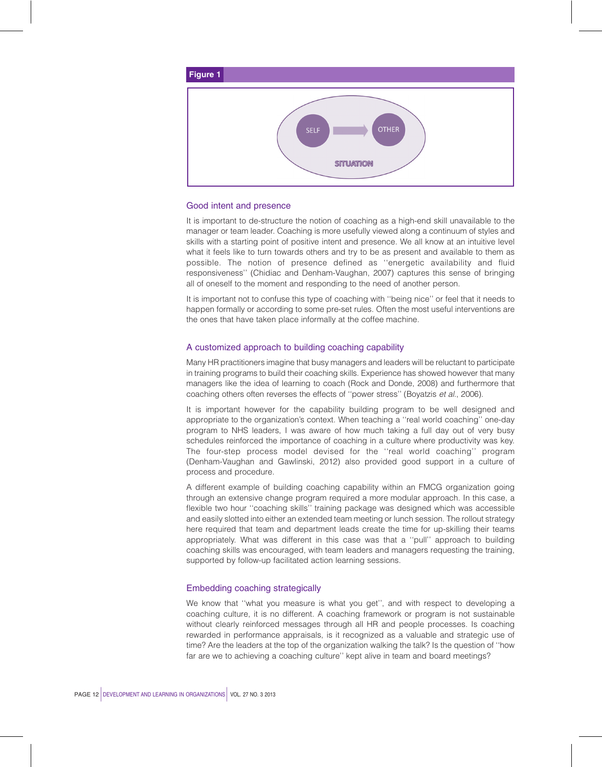

#### Good intent and presence

It is important to de-structure the notion of coaching as a high-end skill unavailable to the manager or team leader. Coaching is more usefully viewed along a continuum of styles and skills with a starting point of positive intent and presence. We all know at an intuitive level what it feels like to turn towards others and try to be as present and available to them as possible. The notion of presence defined as ''energetic availability and fluid responsiveness'' (Chidiac and Denham-Vaughan, 2007) captures this sense of bringing all of oneself to the moment and responding to the need of another person.

It is important not to confuse this type of coaching with ''being nice'' or feel that it needs to happen formally or according to some pre-set rules. Often the most useful interventions are the ones that have taken place informally at the coffee machine.

### A customized approach to building coaching capability

Many HR practitioners imagine that busy managers and leaders will be reluctant to participate in training programs to build their coaching skills. Experience has showed however that many managers like the idea of learning to coach (Rock and Donde, 2008) and furthermore that coaching others often reverses the effects of ''power stress'' (Boyatzis et al., 2006).

It is important however for the capability building program to be well designed and appropriate to the organization's context. When teaching a ''real world coaching'' one-day program to NHS leaders, I was aware of how much taking a full day out of very busy schedules reinforced the importance of coaching in a culture where productivity was key. The four-step process model devised for the ''real world coaching'' program (Denham-Vaughan and Gawlinski, 2012) also provided good support in a culture of process and procedure.

A different example of building coaching capability within an FMCG organization going through an extensive change program required a more modular approach. In this case, a flexible two hour ''coaching skills'' training package was designed which was accessible and easily slotted into either an extended team meeting or lunch session. The rollout strategy here required that team and department leads create the time for up-skilling their teams appropriately. What was different in this case was that a ''pull'' approach to building coaching skills was encouraged, with team leaders and managers requesting the training, supported by follow-up facilitated action learning sessions.

#### Embedding coaching strategically

We know that ''what you measure is what you get'', and with respect to developing a coaching culture, it is no different. A coaching framework or program is not sustainable without clearly reinforced messages through all HR and people processes. Is coaching rewarded in performance appraisals, is it recognized as a valuable and strategic use of time? Are the leaders at the top of the organization walking the talk? Is the question of ''how far are we to achieving a coaching culture'' kept alive in team and board meetings?